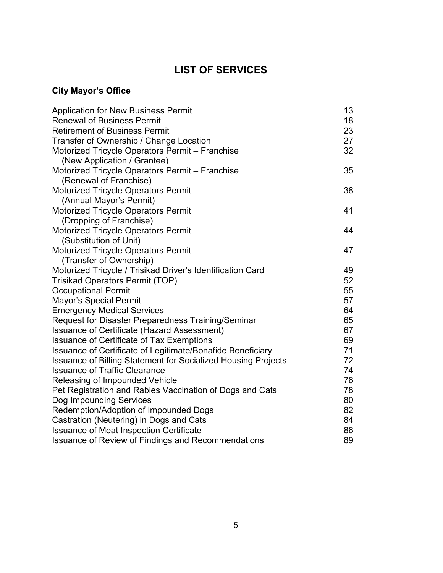# **LIST OF SERVICES**

### **City Mayor's Office**

| <b>Application for New Business Permit</b>                           | 13 |
|----------------------------------------------------------------------|----|
| <b>Renewal of Business Permit</b>                                    | 18 |
| <b>Retirement of Business Permit</b>                                 | 23 |
| Transfer of Ownership / Change Location                              | 27 |
| Motorized Tricycle Operators Permit - Franchise                      | 32 |
| (New Application / Grantee)                                          |    |
| Motorized Tricycle Operators Permit - Franchise                      | 35 |
| (Renewal of Franchise)                                               |    |
| <b>Motorized Tricycle Operators Permit</b>                           | 38 |
| (Annual Mayor's Permit)                                              |    |
| <b>Motorized Tricycle Operators Permit</b>                           | 41 |
| (Dropping of Franchise)                                              |    |
| <b>Motorized Tricycle Operators Permit</b>                           | 44 |
| (Substitution of Unit)                                               |    |
| <b>Motorized Tricycle Operators Permit</b>                           | 47 |
| (Transfer of Ownership)                                              |    |
| Motorized Tricycle / Trisikad Driver's Identification Card           | 49 |
| <b>Trisikad Operators Permit (TOP)</b>                               | 52 |
| <b>Occupational Permit</b>                                           | 55 |
| Mayor's Special Permit                                               | 57 |
| <b>Emergency Medical Services</b>                                    | 64 |
| Request for Disaster Preparedness Training/Seminar                   | 65 |
| Issuance of Certificate (Hazard Assessment)                          | 67 |
| <b>Issuance of Certificate of Tax Exemptions</b>                     | 69 |
| Issuance of Certificate of Legitimate/Bonafide Beneficiary           | 71 |
| <b>Issuance of Billing Statement for Socialized Housing Projects</b> | 72 |
| <b>Issuance of Traffic Clearance</b>                                 | 74 |
| Releasing of Impounded Vehicle                                       | 76 |
| Pet Registration and Rabies Vaccination of Dogs and Cats             | 78 |
| Dog Impounding Services                                              | 80 |
| Redemption/Adoption of Impounded Dogs                                | 82 |
| Castration (Neutering) in Dogs and Cats                              | 84 |
| <b>Issuance of Meat Inspection Certificate</b>                       | 86 |
| Issuance of Review of Findings and Recommendations                   | 89 |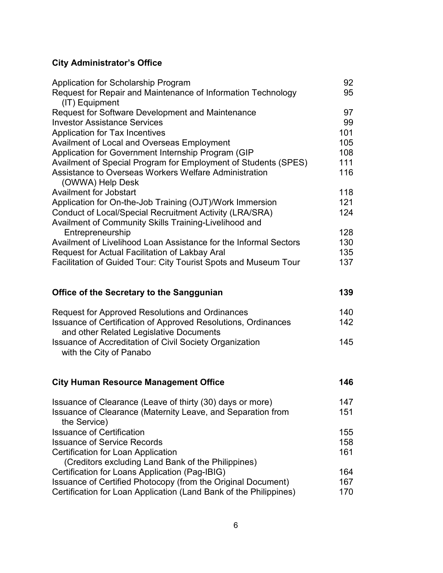#### **City Administrator's Office**

| Application for Scholarship Program<br>Request for Repair and Maintenance of Information Technology<br>(IT) Equipment | 92<br>95 |
|-----------------------------------------------------------------------------------------------------------------------|----------|
| <b>Request for Software Development and Maintenance</b>                                                               | 97       |
| <b>Investor Assistance Services</b>                                                                                   | 99       |
| <b>Application for Tax Incentives</b>                                                                                 | 101      |
| Availment of Local and Overseas Employment                                                                            | 105      |
| Application for Government Internship Program (GIP                                                                    | 108      |
| Availment of Special Program for Employment of Students (SPES)                                                        | 111      |
| Assistance to Overseas Workers Welfare Administration<br>(OWWA) Help Desk                                             | 116      |
| <b>Availment for Jobstart</b>                                                                                         | 118      |
| Application for On-the-Job Training (OJT)/Work Immersion                                                              | 121      |
| <b>Conduct of Local/Special Recruitment Activity (LRA/SRA)</b>                                                        | 124      |
| Availment of Community Skills Training-Livelihood and                                                                 |          |
| Entrepreneurship                                                                                                      | 128      |
| Availment of Livelihood Loan Assistance for the Informal Sectors                                                      | 130      |
| Request for Actual Facilitation of Lakbay Aral                                                                        | 135      |
| Facilitation of Guided Tour: City Tourist Spots and Museum Tour                                                       | 137      |
|                                                                                                                       |          |
| Office of the Secretary to the Sanggunian                                                                             | 139      |
| <b>Request for Approved Resolutions and Ordinances</b>                                                                | 140      |
| Issuance of Certification of Approved Resolutions, Ordinances                                                         | 142      |
| and other Related Legislative Documents                                                                               |          |
| <b>Issuance of Accreditation of Civil Society Organization</b>                                                        | 145      |
| with the City of Panabo                                                                                               |          |
|                                                                                                                       |          |
| <b>City Human Resource Management Office</b>                                                                          | 146      |
| Issuance of Clearance (Leave of thirty (30) days or more)                                                             | 147      |
| Issuance of Clearance (Maternity Leave, and Separation from<br>the Service)                                           | 151      |
| <b>Issuance of Certification</b>                                                                                      | 155      |
| <b>Issuance of Service Records</b>                                                                                    | 158      |
| <b>Certification for Loan Application</b>                                                                             | 161      |
| (Creditors excluding Land Bank of the Philippines)                                                                    |          |

Certification for Loans Application (Pag-IBIG) 164

| Issuance of Certified Photocopy (from the Original Document)      | 167. |
|-------------------------------------------------------------------|------|
| Certification for Loan Application (Land Bank of the Philippines) | 170  |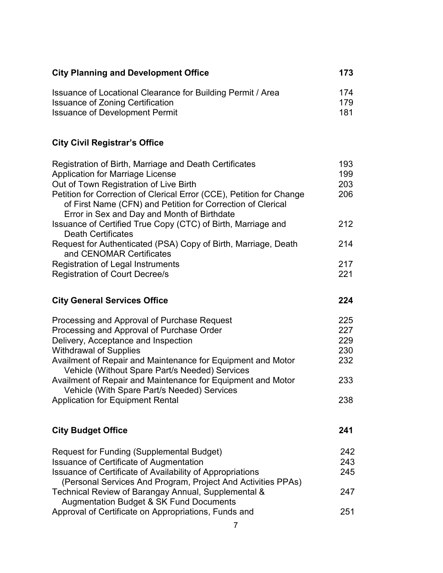| <b>City Planning and Development Office</b><br>Issuance of Locational Clearance for Building Permit / Area |     |
|------------------------------------------------------------------------------------------------------------|-----|
|                                                                                                            | 174 |
| <b>Issuance of Zoning Certification</b>                                                                    | 179 |
| <b>Issuance of Development Permit</b>                                                                      | 181 |

# **City Civil Registrar's Office**

|                                                                                                                                                                                                                                                                                                                                                                                                                                                                                                                                                                                                                                                                                                                                                                                                                                                                                                                                                                                                                                                                                                                                                                                                                                                                                                                                                                                     | 193 |
|-------------------------------------------------------------------------------------------------------------------------------------------------------------------------------------------------------------------------------------------------------------------------------------------------------------------------------------------------------------------------------------------------------------------------------------------------------------------------------------------------------------------------------------------------------------------------------------------------------------------------------------------------------------------------------------------------------------------------------------------------------------------------------------------------------------------------------------------------------------------------------------------------------------------------------------------------------------------------------------------------------------------------------------------------------------------------------------------------------------------------------------------------------------------------------------------------------------------------------------------------------------------------------------------------------------------------------------------------------------------------------------|-----|
|                                                                                                                                                                                                                                                                                                                                                                                                                                                                                                                                                                                                                                                                                                                                                                                                                                                                                                                                                                                                                                                                                                                                                                                                                                                                                                                                                                                     | 199 |
| Out of Town Registration of Live Birth                                                                                                                                                                                                                                                                                                                                                                                                                                                                                                                                                                                                                                                                                                                                                                                                                                                                                                                                                                                                                                                                                                                                                                                                                                                                                                                                              | 203 |
|                                                                                                                                                                                                                                                                                                                                                                                                                                                                                                                                                                                                                                                                                                                                                                                                                                                                                                                                                                                                                                                                                                                                                                                                                                                                                                                                                                                     | 206 |
|                                                                                                                                                                                                                                                                                                                                                                                                                                                                                                                                                                                                                                                                                                                                                                                                                                                                                                                                                                                                                                                                                                                                                                                                                                                                                                                                                                                     |     |
|                                                                                                                                                                                                                                                                                                                                                                                                                                                                                                                                                                                                                                                                                                                                                                                                                                                                                                                                                                                                                                                                                                                                                                                                                                                                                                                                                                                     |     |
|                                                                                                                                                                                                                                                                                                                                                                                                                                                                                                                                                                                                                                                                                                                                                                                                                                                                                                                                                                                                                                                                                                                                                                                                                                                                                                                                                                                     | 212 |
|                                                                                                                                                                                                                                                                                                                                                                                                                                                                                                                                                                                                                                                                                                                                                                                                                                                                                                                                                                                                                                                                                                                                                                                                                                                                                                                                                                                     |     |
|                                                                                                                                                                                                                                                                                                                                                                                                                                                                                                                                                                                                                                                                                                                                                                                                                                                                                                                                                                                                                                                                                                                                                                                                                                                                                                                                                                                     | 214 |
|                                                                                                                                                                                                                                                                                                                                                                                                                                                                                                                                                                                                                                                                                                                                                                                                                                                                                                                                                                                                                                                                                                                                                                                                                                                                                                                                                                                     |     |
|                                                                                                                                                                                                                                                                                                                                                                                                                                                                                                                                                                                                                                                                                                                                                                                                                                                                                                                                                                                                                                                                                                                                                                                                                                                                                                                                                                                     | 217 |
| Registration of Birth, Marriage and Death Certificates<br><b>Application for Marriage License</b><br>Petition for Correction of Clerical Error (CCE), Petition for Change<br>of First Name (CFN) and Petition for Correction of Clerical<br>Error in Sex and Day and Month of Birthdate<br>Issuance of Certified True Copy (CTC) of Birth, Marriage and<br><b>Death Certificates</b><br>Request for Authenticated (PSA) Copy of Birth, Marriage, Death<br>and CENOMAR Certificates<br><b>Registration of Legal Instruments</b><br><b>Registration of Court Decree/s</b><br><b>City General Services Office</b><br>Processing and Approval of Purchase Request<br>Processing and Approval of Purchase Order<br>Delivery, Acceptance and Inspection<br><b>Withdrawal of Supplies</b><br>Availment of Repair and Maintenance for Equipment and Motor<br>Vehicle (Without Spare Part/s Needed) Services<br>Availment of Repair and Maintenance for Equipment and Motor<br>Vehicle (With Spare Part/s Needed) Services<br><b>Application for Equipment Rental</b><br><b>City Budget Office</b><br><b>Request for Funding (Supplemental Budget)</b><br><b>Issuance of Certificate of Augmentation</b><br>Issuance of Certificate of Availability of Appropriations<br>(Personal Services And Program, Project And Activities PPAs)<br>Technical Review of Barangay Annual, Supplemental & | 221 |
|                                                                                                                                                                                                                                                                                                                                                                                                                                                                                                                                                                                                                                                                                                                                                                                                                                                                                                                                                                                                                                                                                                                                                                                                                                                                                                                                                                                     |     |
|                                                                                                                                                                                                                                                                                                                                                                                                                                                                                                                                                                                                                                                                                                                                                                                                                                                                                                                                                                                                                                                                                                                                                                                                                                                                                                                                                                                     | 224 |
|                                                                                                                                                                                                                                                                                                                                                                                                                                                                                                                                                                                                                                                                                                                                                                                                                                                                                                                                                                                                                                                                                                                                                                                                                                                                                                                                                                                     | 225 |
|                                                                                                                                                                                                                                                                                                                                                                                                                                                                                                                                                                                                                                                                                                                                                                                                                                                                                                                                                                                                                                                                                                                                                                                                                                                                                                                                                                                     | 227 |
|                                                                                                                                                                                                                                                                                                                                                                                                                                                                                                                                                                                                                                                                                                                                                                                                                                                                                                                                                                                                                                                                                                                                                                                                                                                                                                                                                                                     | 229 |
|                                                                                                                                                                                                                                                                                                                                                                                                                                                                                                                                                                                                                                                                                                                                                                                                                                                                                                                                                                                                                                                                                                                                                                                                                                                                                                                                                                                     | 230 |
|                                                                                                                                                                                                                                                                                                                                                                                                                                                                                                                                                                                                                                                                                                                                                                                                                                                                                                                                                                                                                                                                                                                                                                                                                                                                                                                                                                                     | 232 |
|                                                                                                                                                                                                                                                                                                                                                                                                                                                                                                                                                                                                                                                                                                                                                                                                                                                                                                                                                                                                                                                                                                                                                                                                                                                                                                                                                                                     |     |
|                                                                                                                                                                                                                                                                                                                                                                                                                                                                                                                                                                                                                                                                                                                                                                                                                                                                                                                                                                                                                                                                                                                                                                                                                                                                                                                                                                                     | 233 |
|                                                                                                                                                                                                                                                                                                                                                                                                                                                                                                                                                                                                                                                                                                                                                                                                                                                                                                                                                                                                                                                                                                                                                                                                                                                                                                                                                                                     |     |
|                                                                                                                                                                                                                                                                                                                                                                                                                                                                                                                                                                                                                                                                                                                                                                                                                                                                                                                                                                                                                                                                                                                                                                                                                                                                                                                                                                                     | 238 |
|                                                                                                                                                                                                                                                                                                                                                                                                                                                                                                                                                                                                                                                                                                                                                                                                                                                                                                                                                                                                                                                                                                                                                                                                                                                                                                                                                                                     |     |
|                                                                                                                                                                                                                                                                                                                                                                                                                                                                                                                                                                                                                                                                                                                                                                                                                                                                                                                                                                                                                                                                                                                                                                                                                                                                                                                                                                                     | 241 |
|                                                                                                                                                                                                                                                                                                                                                                                                                                                                                                                                                                                                                                                                                                                                                                                                                                                                                                                                                                                                                                                                                                                                                                                                                                                                                                                                                                                     |     |
|                                                                                                                                                                                                                                                                                                                                                                                                                                                                                                                                                                                                                                                                                                                                                                                                                                                                                                                                                                                                                                                                                                                                                                                                                                                                                                                                                                                     | 242 |
|                                                                                                                                                                                                                                                                                                                                                                                                                                                                                                                                                                                                                                                                                                                                                                                                                                                                                                                                                                                                                                                                                                                                                                                                                                                                                                                                                                                     | 243 |
|                                                                                                                                                                                                                                                                                                                                                                                                                                                                                                                                                                                                                                                                                                                                                                                                                                                                                                                                                                                                                                                                                                                                                                                                                                                                                                                                                                                     | 245 |
|                                                                                                                                                                                                                                                                                                                                                                                                                                                                                                                                                                                                                                                                                                                                                                                                                                                                                                                                                                                                                                                                                                                                                                                                                                                                                                                                                                                     |     |
|                                                                                                                                                                                                                                                                                                                                                                                                                                                                                                                                                                                                                                                                                                                                                                                                                                                                                                                                                                                                                                                                                                                                                                                                                                                                                                                                                                                     | 247 |
| <b>Augmentation Budget &amp; SK Fund Documents</b>                                                                                                                                                                                                                                                                                                                                                                                                                                                                                                                                                                                                                                                                                                                                                                                                                                                                                                                                                                                                                                                                                                                                                                                                                                                                                                                                  |     |
| Approval of Certificate on Appropriations, Funds and                                                                                                                                                                                                                                                                                                                                                                                                                                                                                                                                                                                                                                                                                                                                                                                                                                                                                                                                                                                                                                                                                                                                                                                                                                                                                                                                | 251 |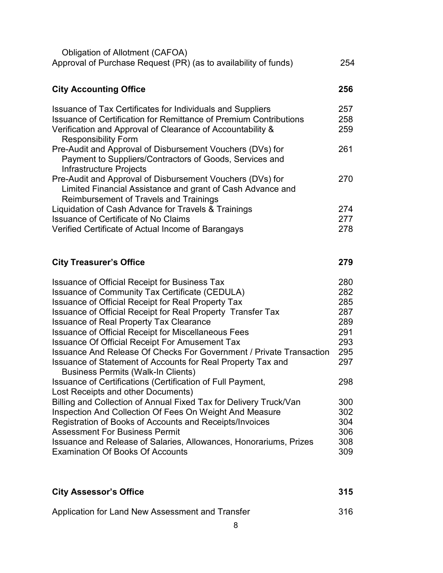| Obligation of Allotment (CAFOA)<br>Approval of Purchase Request (PR) (as to availability of funds)                                                                                                                                 | 254               |
|------------------------------------------------------------------------------------------------------------------------------------------------------------------------------------------------------------------------------------|-------------------|
| <b>City Accounting Office</b>                                                                                                                                                                                                      | 256               |
| Issuance of Tax Certificates for Individuals and Suppliers<br><b>Issuance of Certification for Remittance of Premium Contributions</b><br>Verification and Approval of Clearance of Accountability &<br><b>Responsibility Form</b> | 257<br>258<br>259 |
| Pre-Audit and Approval of Disbursement Vouchers (DVs) for<br>Payment to Suppliers/Contractors of Goods, Services and<br>Infrastructure Projects                                                                                    | 261               |
| Pre-Audit and Approval of Disbursement Vouchers (DVs) for<br>Limited Financial Assistance and grant of Cash Advance and<br>Reimbursement of Travels and Trainings                                                                  | 270               |
| Liquidation of Cash Advance for Travels & Trainings                                                                                                                                                                                | 274               |
| <b>Issuance of Certificate of No Claims</b>                                                                                                                                                                                        | 277               |
| Verified Certificate of Actual Income of Barangays                                                                                                                                                                                 | 278               |
| <b>City Treasurer's Office</b>                                                                                                                                                                                                     | 279               |
| <b>Issuance of Official Receipt for Business Tax</b>                                                                                                                                                                               | 280               |
| Issuance of Community Tax Certificate (CEDULA)                                                                                                                                                                                     |                   |
|                                                                                                                                                                                                                                    | 282               |
| <b>Issuance of Official Receipt for Real Property Tax</b>                                                                                                                                                                          | 285               |
| Issuance of Official Receipt for Real Property Transfer Tax                                                                                                                                                                        | 287               |
| <b>Issuance of Real Property Tax Clearance</b>                                                                                                                                                                                     | 289               |
| <b>Issuance of Official Receipt for Miscellaneous Fees</b>                                                                                                                                                                         | 291               |
| <b>Issuance Of Official Receipt For Amusement Tax</b>                                                                                                                                                                              | 293               |
| <b>Issuance And Release Of Checks For Government / Private Transaction</b>                                                                                                                                                         | 295               |
| Issuance of Statement of Accounts for Real Property Tax and<br><b>Business Permits (Walk-In Clients)</b>                                                                                                                           | 297               |
| Issuance of Certifications (Certification of Full Payment,<br>Lost Receipts and other Documents)                                                                                                                                   | 298               |
| Billing and Collection of Annual Fixed Tax for Delivery Truck/Van                                                                                                                                                                  | 300               |
| Inspection And Collection Of Fees On Weight And Measure                                                                                                                                                                            | 302               |
| Registration of Books of Accounts and Receipts/Invoices                                                                                                                                                                            | 304               |
| <b>Assessment For Business Permit</b>                                                                                                                                                                                              | 306               |
| Issuance and Release of Salaries, Allowances, Honorariums, Prizes<br><b>Examination Of Books Of Accounts</b>                                                                                                                       | 308<br>309        |

| <b>City Assessor's Office</b>                    | 315 |
|--------------------------------------------------|-----|
| Application for Land New Assessment and Transfer | 316 |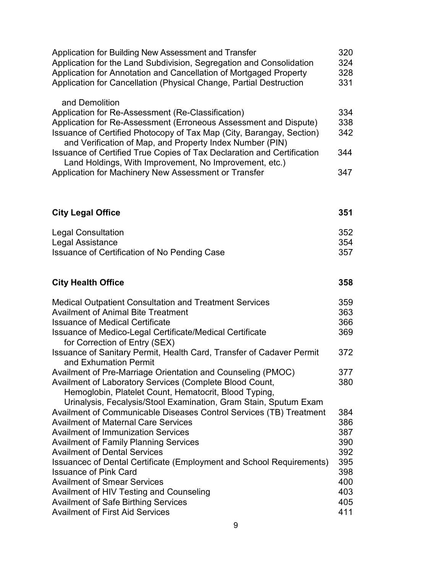| Application for Building New Assessment and Transfer<br>Application for the Land Subdivision, Segregation and Consolidation<br>Application for Annotation and Cancellation of Mortgaged Property<br>Application for Cancellation (Physical Change, Partial Destruction                                                                                                                                                                                                                      | 320<br>324<br>328<br>331                                           |
|---------------------------------------------------------------------------------------------------------------------------------------------------------------------------------------------------------------------------------------------------------------------------------------------------------------------------------------------------------------------------------------------------------------------------------------------------------------------------------------------|--------------------------------------------------------------------|
| and Demolition<br>Application for Re-Assessment (Re-Classification)<br>Application for Re-Assessment (Erroneous Assessment and Dispute)<br>Issuance of Certified Photocopy of Tax Map (City, Barangay, Section)<br>and Verification of Map, and Property Index Number (PIN)<br>Issuance of Certified True Copies of Tax Declaration and Certification<br>Land Holdings, With Improvement, No Improvement, etc.)<br>Application for Machinery New Assessment or Transfer                     | 334<br>338<br>342<br>344<br>347                                    |
| <b>City Legal Office</b>                                                                                                                                                                                                                                                                                                                                                                                                                                                                    | 351                                                                |
| <b>Legal Consultation</b><br>Legal Assistance<br>Issuance of Certification of No Pending Case                                                                                                                                                                                                                                                                                                                                                                                               | 352<br>354<br>357                                                  |
| <b>City Health Office</b>                                                                                                                                                                                                                                                                                                                                                                                                                                                                   | 358                                                                |
| <b>Medical Outpatient Consultation and Treatment Services</b><br><b>Availment of Animal Bite Treatment</b><br><b>Issuance of Medical Certificate</b><br>Issuance of Medico-Legal Certificate/Medical Certificate<br>for Correction of Entry (SEX)                                                                                                                                                                                                                                           | 359<br>363<br>366<br>369                                           |
| Issuance of Sanitary Permit, Health Card, Transfer of Cadaver Permit<br>and Exhumation Permit                                                                                                                                                                                                                                                                                                                                                                                               | 372                                                                |
| Availment of Pre-Marriage Orientation and Counseling (PMOC)<br>Availment of Laboratory Services (Complete Blood Count,<br>Hemoglobin, Platelet Count, Hematocrit, Blood Typing,<br>Urinalysis, Fecalysis/Stool Examination, Gram Stain, Sputum Exam                                                                                                                                                                                                                                         | 377<br>380                                                         |
| Availment of Communicable Diseases Control Services (TB) Treatment<br><b>Availment of Maternal Care Services</b><br><b>Availment of Immunization Services</b><br><b>Availment of Family Planning Services</b><br><b>Availment of Dental Services</b><br>Issuancec of Dental Certificate (Employment and School Requirements)<br><b>Issuance of Pink Card</b><br><b>Availment of Smear Services</b><br>Availment of HIV Testing and Counseling<br><b>Availment of Safe Birthing Services</b> | 384<br>386<br>387<br>390<br>392<br>395<br>398<br>400<br>403<br>405 |
| <b>Availment of First Aid Services</b>                                                                                                                                                                                                                                                                                                                                                                                                                                                      | 411                                                                |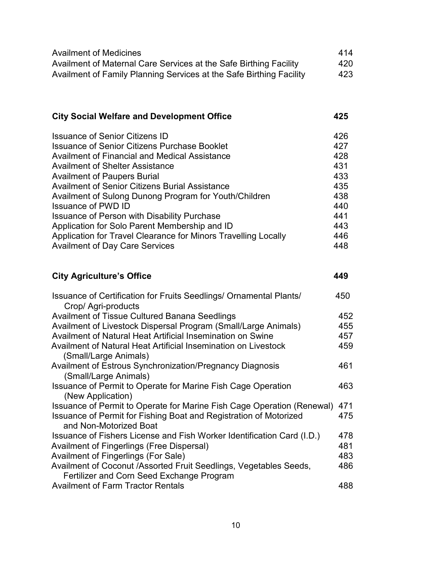| <b>Availment of Medicines</b>                                       | 414 |
|---------------------------------------------------------------------|-----|
| Availment of Maternal Care Services at the Safe Birthing Facility   | 420 |
| Availment of Family Planning Services at the Safe Birthing Facility | 423 |

|  | <b>City Social Welfare and Development Office</b> | 425 |
|--|---------------------------------------------------|-----|
|--|---------------------------------------------------|-----|

| <b>Issuance of Senior Citizens ID</b>                          | 426 |
|----------------------------------------------------------------|-----|
| <b>Issuance of Senior Citizens Purchase Booklet</b>            | 427 |
| Availment of Financial and Medical Assistance                  | 428 |
| <b>Availment of Shelter Assistance</b>                         | 431 |
| <b>Availment of Paupers Burial</b>                             | 433 |
| <b>Availment of Senior Citizens Burial Assistance</b>          | 435 |
| Availment of Sulong Dunong Program for Youth/Children          | 438 |
| <b>Issuance of PWD ID</b>                                      | 440 |
| Issuance of Person with Disability Purchase                    | 441 |
| Application for Solo Parent Membership and ID                  | 443 |
| Application for Travel Clearance for Minors Travelling Locally | 446 |
| <b>Availment of Day Care Services</b>                          | 448 |

# **City Agriculture's Office 449**

| Issuance of Certification for Fruits Seedlings/ Ornamental Plants/     | 450 |
|------------------------------------------------------------------------|-----|
| Crop/ Agri-products                                                    |     |
| <b>Availment of Tissue Cultured Banana Seedlings</b>                   | 452 |
| Availment of Livestock Dispersal Program (Small/Large Animals)         | 455 |
| Availment of Natural Heat Artificial Insemination on Swine             | 457 |
| Availment of Natural Heat Artificial Insemination on Livestock         | 459 |
| (Small/Large Animals)                                                  |     |
| Availment of Estrous Synchronization/Pregnancy Diagnosis               | 461 |
| (Small/Large Animals)                                                  |     |
| Issuance of Permit to Operate for Marine Fish Cage Operation           | 463 |
| (New Application)                                                      |     |
| Issuance of Permit to Operate for Marine Fish Cage Operation (Renewal) | 471 |
| Issuance of Permit for Fishing Boat and Registration of Motorized      | 475 |
| and Non-Motorized Boat                                                 |     |
| Issuance of Fishers License and Fish Worker Identification Card (I.D.) | 478 |
| <b>Availment of Fingerlings (Free Dispersal)</b>                       | 481 |
| Availment of Fingerlings (For Sale)                                    | 483 |
| Availment of Coconut /Assorted Fruit Seedlings, Vegetables Seeds,      | 486 |
| Fertilizer and Corn Seed Exchange Program                              |     |
| <b>Availment of Farm Tractor Rentals</b>                               | 488 |
|                                                                        |     |